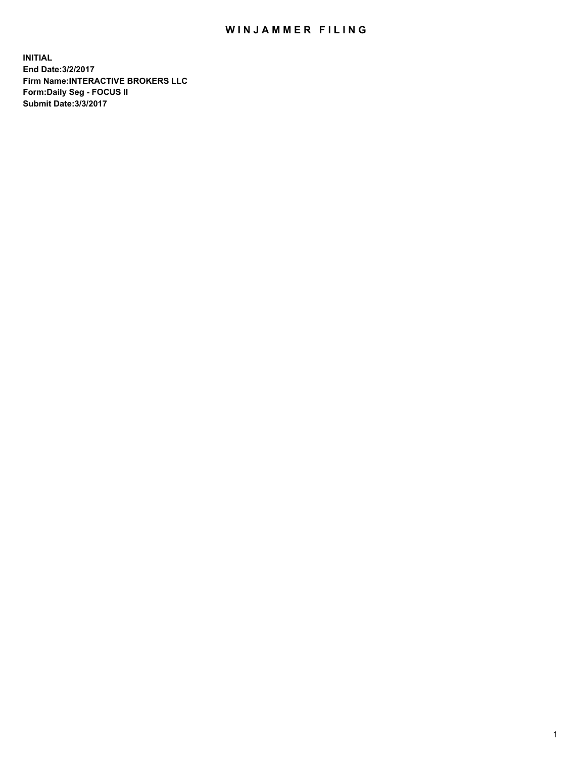## WIN JAMMER FILING

**INITIAL End Date:3/2/2017 Firm Name:INTERACTIVE BROKERS LLC Form:Daily Seg - FOCUS II Submit Date:3/3/2017**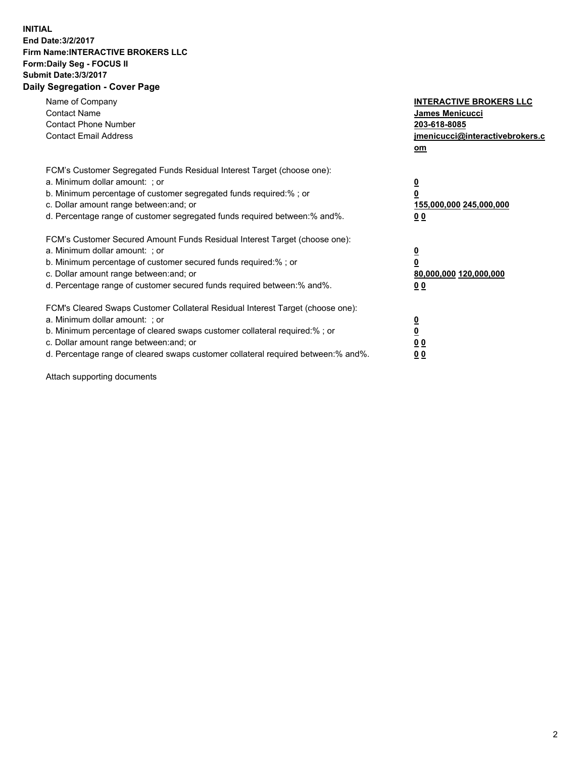## **INITIAL End Date:3/2/2017 Firm Name:INTERACTIVE BROKERS LLC Form:Daily Seg - FOCUS II Submit Date:3/3/2017 Daily Segregation - Cover Page**

| Name of Company<br><b>Contact Name</b><br><b>Contact Phone Number</b><br><b>Contact Email Address</b>                                                                                                                                                                                                                          | <b>INTERACTIVE BROKERS LLC</b><br>James Menicucci<br>203-618-8085<br>jmenicucci@interactivebrokers.c<br>om |
|--------------------------------------------------------------------------------------------------------------------------------------------------------------------------------------------------------------------------------------------------------------------------------------------------------------------------------|------------------------------------------------------------------------------------------------------------|
| FCM's Customer Segregated Funds Residual Interest Target (choose one):<br>a. Minimum dollar amount: ; or<br>b. Minimum percentage of customer segregated funds required:%; or<br>c. Dollar amount range between: and; or<br>d. Percentage range of customer segregated funds required between:% and%.                          | $\overline{\mathbf{0}}$<br>$\overline{\mathbf{0}}$<br>155,000,000 245,000,000<br>00                        |
| FCM's Customer Secured Amount Funds Residual Interest Target (choose one):<br>a. Minimum dollar amount: ; or<br>b. Minimum percentage of customer secured funds required:%; or<br>c. Dollar amount range between: and; or<br>d. Percentage range of customer secured funds required between: % and %.                          | $\overline{\mathbf{0}}$<br>$\mathbf 0$<br>80,000,000 120,000,000<br>00                                     |
| FCM's Cleared Swaps Customer Collateral Residual Interest Target (choose one):<br>a. Minimum dollar amount: ; or<br>b. Minimum percentage of cleared swaps customer collateral required:% ; or<br>c. Dollar amount range between: and; or<br>d. Percentage range of cleared swaps customer collateral required between:% and%. | $\overline{\mathbf{0}}$<br>$\underline{\mathbf{0}}$<br>0 <sub>0</sub><br>0 <sub>0</sub>                    |

Attach supporting documents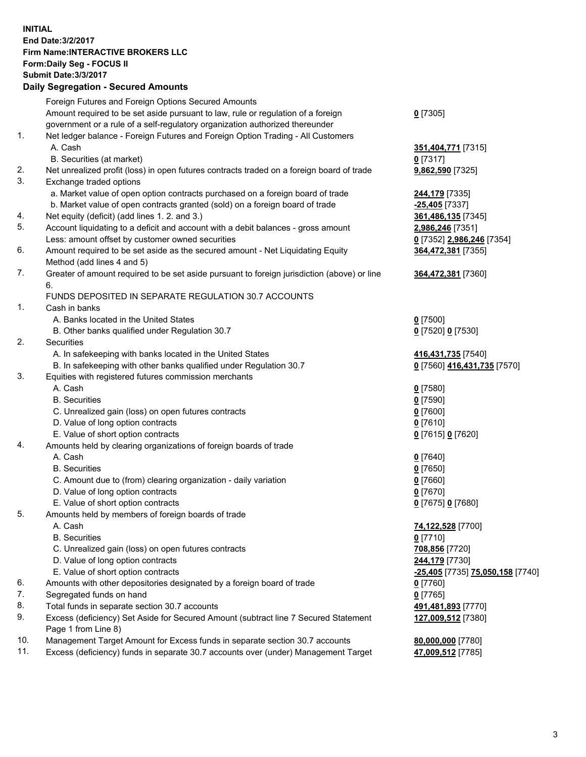**INITIAL End Date:3/2/2017 Firm Name:INTERACTIVE BROKERS LLC Form:Daily Seg - FOCUS II Submit Date:3/3/2017 Daily Segregation - Secured Amounts**

## Foreign Futures and Foreign Options Secured Amounts Amount required to be set aside pursuant to law, rule or regulation of a foreign government or a rule of a self-regulatory organization authorized thereunder **0** [7305] 1. Net ledger balance - Foreign Futures and Foreign Option Trading - All Customers A. Cash **351,404,771** [7315] B. Securities (at market) **0** [7317] 2. Net unrealized profit (loss) in open futures contracts traded on a foreign board of trade **9,862,590** [7325] 3. Exchange traded options a. Market value of open option contracts purchased on a foreign board of trade **244,179** [7335] b. Market value of open contracts granted (sold) on a foreign board of trade **-25,405** [7337] 4. Net equity (deficit) (add lines 1. 2. and 3.) **361,486,135** [7345] 5. Account liquidating to a deficit and account with a debit balances - gross amount **2,986,246** [7351] Less: amount offset by customer owned securities **0** [7352] **2,986,246** [7354] 6. Amount required to be set aside as the secured amount - Net Liquidating Equity Method (add lines 4 and 5) **364,472,381** [7355] 7. Greater of amount required to be set aside pursuant to foreign jurisdiction (above) or line 6. **364,472,381** [7360] FUNDS DEPOSITED IN SEPARATE REGULATION 30.7 ACCOUNTS 1. Cash in banks A. Banks located in the United States **0** [7500] B. Other banks qualified under Regulation 30.7 **0** [7520] **0** [7530] 2. Securities A. In safekeeping with banks located in the United States **416,431,735** [7540] B. In safekeeping with other banks qualified under Regulation 30.7 **0** [7560] **416,431,735** [7570] 3. Equities with registered futures commission merchants A. Cash **0** [7580] B. Securities **0** [7590] C. Unrealized gain (loss) on open futures contracts **0** [7600] D. Value of long option contracts **0** [7610] E. Value of short option contracts **0** [7615] **0** [7620] 4. Amounts held by clearing organizations of foreign boards of trade A. Cash **0** [7640] B. Securities **0** [7650] C. Amount due to (from) clearing organization - daily variation **0** [7660] D. Value of long option contracts **0** [7670] E. Value of short option contracts **0** [7675] **0** [7680] 5. Amounts held by members of foreign boards of trade A. Cash **74,122,528** [7700] B. Securities **0** [7710] C. Unrealized gain (loss) on open futures contracts **708,856** [7720] D. Value of long option contracts **244,179** [7730] E. Value of short option contracts **-25,405** [7735] **75,050,158** [7740] 6. Amounts with other depositories designated by a foreign board of trade **0** [7760] 7. Segregated funds on hand **0** [7765] 8. Total funds in separate section 30.7 accounts **491,481,893** [7770] 9. Excess (deficiency) Set Aside for Secured Amount (subtract line 7 Secured Statement Page 1 from Line 8) **127,009,512** [7380] 10. Management Target Amount for Excess funds in separate section 30.7 accounts **80,000,000** [7780] 11. Excess (deficiency) funds in separate 30.7 accounts over (under) Management Target **47,009,512** [7785]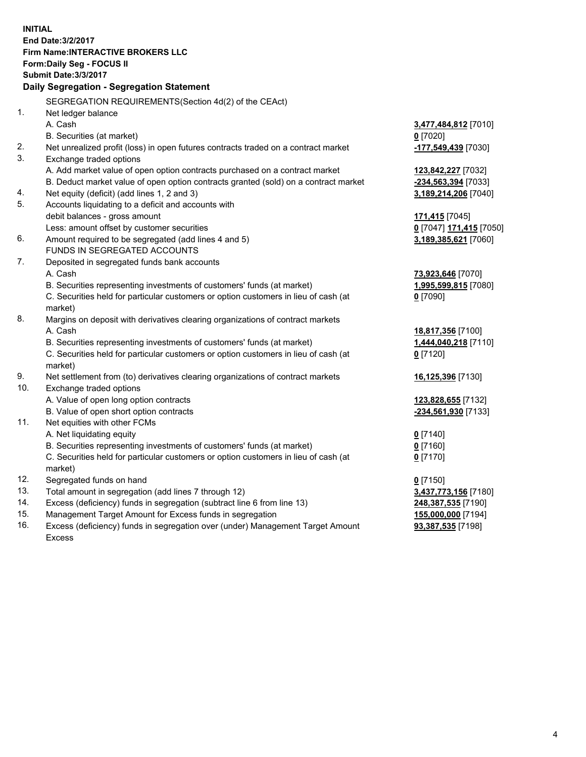**INITIAL End Date:3/2/2017 Firm Name:INTERACTIVE BROKERS LLC Form:Daily Seg - FOCUS II Submit Date:3/3/2017 Daily Segregation - Segregation Statement** SEGREGATION REQUIREMENTS(Section 4d(2) of the CEAct) 1. Net ledger balance A. Cash **3,477,484,812** [7010] B. Securities (at market) **0** [7020] 2. Net unrealized profit (loss) in open futures contracts traded on a contract market **-177,549,439** [7030] 3. Exchange traded options A. Add market value of open option contracts purchased on a contract market **123,842,227** [7032] B. Deduct market value of open option contracts granted (sold) on a contract market **-234,563,394** [7033] 4. Net equity (deficit) (add lines 1, 2 and 3) **3,189,214,206** [7040] 5. Accounts liquidating to a deficit and accounts with debit balances - gross amount **171,415** [7045] Less: amount offset by customer securities **0** [7047] **171,415** [7050] 6. Amount required to be segregated (add lines 4 and 5) **3,189,385,621** [7060] FUNDS IN SEGREGATED ACCOUNTS 7. Deposited in segregated funds bank accounts A. Cash **73,923,646** [7070] B. Securities representing investments of customers' funds (at market) **1,995,599,815** [7080] C. Securities held for particular customers or option customers in lieu of cash (at market) **0** [7090] 8. Margins on deposit with derivatives clearing organizations of contract markets A. Cash **18,817,356** [7100] B. Securities representing investments of customers' funds (at market) **1,444,040,218** [7110] C. Securities held for particular customers or option customers in lieu of cash (at market) **0** [7120] 9. Net settlement from (to) derivatives clearing organizations of contract markets **16,125,396** [7130] 10. Exchange traded options A. Value of open long option contracts **123,828,655** [7132] B. Value of open short option contracts **-234,561,930** [7133] 11. Net equities with other FCMs A. Net liquidating equity **0** [7140] B. Securities representing investments of customers' funds (at market) **0** [7160] C. Securities held for particular customers or option customers in lieu of cash (at market) **0** [7170] 12. Segregated funds on hand **0** [7150] 13. Total amount in segregation (add lines 7 through 12) **3,437,773,156** [7180] 14. Excess (deficiency) funds in segregation (subtract line 6 from line 13) **248,387,535** [7190] 15. Management Target Amount for Excess funds in segregation **155,000,000** [7194] **93,387,535** [7198]

16. Excess (deficiency) funds in segregation over (under) Management Target Amount Excess